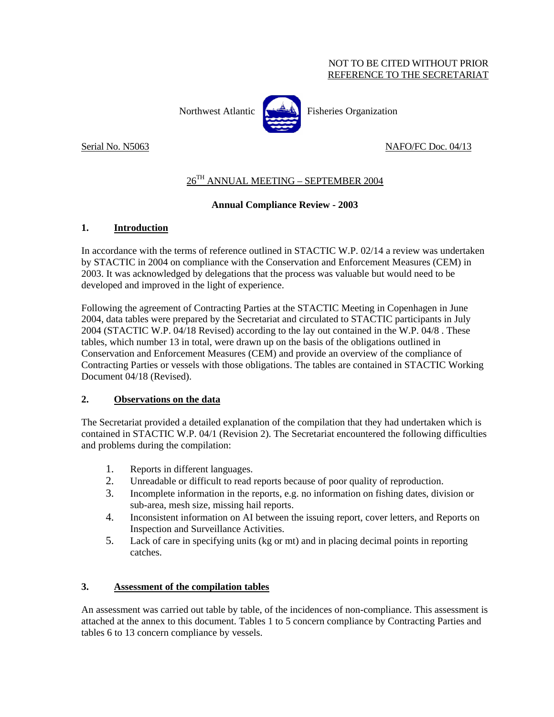### NOT TO BE CITED WITHOUT PRIOR REFERENCE TO THE SECRETARIAT

Northwest Atlantic  $\left[\begin{matrix} 1 & 1 \\ 1 & 1 \end{matrix}\right]$  Fisheries Organization

Serial No. N5063 NAFO/FC Doc. 04/13

# 26TH ANNUAL MEETING – SEPTEMBER 2004

# **Annual Compliance Review - 2003**

## **1. Introduction**

In accordance with the terms of reference outlined in STACTIC W.P. 02/14 a review was undertaken by STACTIC in 2004 on compliance with the Conservation and Enforcement Measures (CEM) in 2003. It was acknowledged by delegations that the process was valuable but would need to be developed and improved in the light of experience.

Following the agreement of Contracting Parties at the STACTIC Meeting in Copenhagen in June 2004, data tables were prepared by the Secretariat and circulated to STACTIC participants in July 2004 (STACTIC W.P. 04/18 Revised) according to the lay out contained in the W.P. 04/8 . These tables, which number 13 in total, were drawn up on the basis of the obligations outlined in Conservation and Enforcement Measures (CEM) and provide an overview of the compliance of Contracting Parties or vessels with those obligations. The tables are contained in STACTIC Working Document 04/18 (Revised).

### **2. Observations on the data**

The Secretariat provided a detailed explanation of the compilation that they had undertaken which is contained in STACTIC W.P. 04/1 (Revision 2). The Secretariat encountered the following difficulties and problems during the compilation:

- 1. Reports in different languages.
- 2. Unreadable or difficult to read reports because of poor quality of reproduction.
- 3. Incomplete information in the reports, e.g. no information on fishing dates, division or sub-area, mesh size, missing hail reports.
- 4. Inconsistent information on AI between the issuing report, cover letters, and Reports on Inspection and Surveillance Activities.
- 5. Lack of care in specifying units (kg or mt) and in placing decimal points in reporting catches.

# **3. Assessment of the compilation tables**

An assessment was carried out table by table, of the incidences of non-compliance. This assessment is attached at the annex to this document. Tables 1 to 5 concern compliance by Contracting Parties and tables 6 to 13 concern compliance by vessels.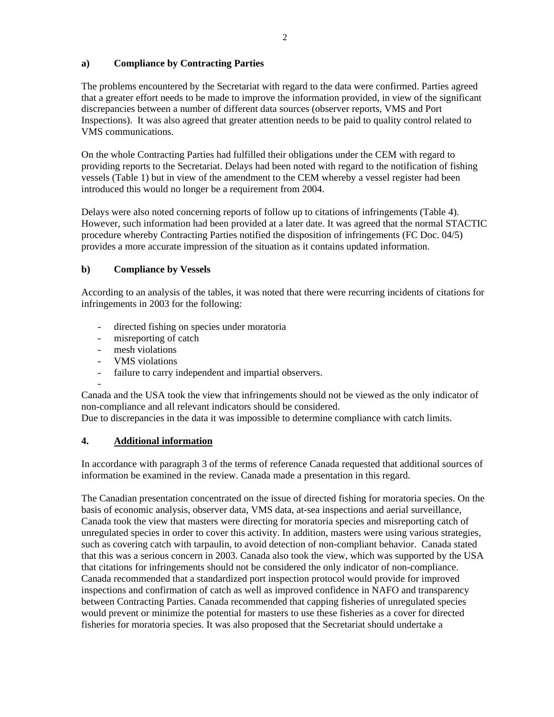## **a) Compliance by Contracting Parties**

The problems encountered by the Secretariat with regard to the data were confirmed. Parties agreed that a greater effort needs to be made to improve the information provided, in view of the significant discrepancies between a number of different data sources (observer reports, VMS and Port Inspections). It was also agreed that greater attention needs to be paid to quality control related to VMS communications.

On the whole Contracting Parties had fulfilled their obligations under the CEM with regard to providing reports to the Secretariat. Delays had been noted with regard to the notification of fishing vessels (Table 1) but in view of the amendment to the CEM whereby a vessel register had been introduced this would no longer be a requirement from 2004.

Delays were also noted concerning reports of follow up to citations of infringements (Table 4). However, such information had been provided at a later date. It was agreed that the normal STACTIC procedure whereby Contracting Parties notified the disposition of infringements (FC Doc. 04/5) provides a more accurate impression of the situation as it contains updated information.

# **b) Compliance by Vessels**

According to an analysis of the tables, it was noted that there were recurring incidents of citations for infringements in 2003 for the following:

- directed fishing on species under moratoria
- misreporting of catch
- mesh violations
- VMS violations
- failure to carry independent and impartial observers.

-

Canada and the USA took the view that infringements should not be viewed as the only indicator of non-compliance and all relevant indicators should be considered.

Due to discrepancies in the data it was impossible to determine compliance with catch limits.

# **4. Additional information**

In accordance with paragraph 3 of the terms of reference Canada requested that additional sources of information be examined in the review. Canada made a presentation in this regard.

The Canadian presentation concentrated on the issue of directed fishing for moratoria species. On the basis of economic analysis, observer data, VMS data, at-sea inspections and aerial surveillance, Canada took the view that masters were directing for moratoria species and misreporting catch of unregulated species in order to cover this activity. In addition, masters were using various strategies, such as covering catch with tarpaulin, to avoid detection of non-compliant behavior. Canada stated that this was a serious concern in 2003. Canada also took the view, which was supported by the USA that citations for infringements should not be considered the only indicator of non-compliance. Canada recommended that a standardized port inspection protocol would provide for improved inspections and confirmation of catch as well as improved confidence in NAFO and transparency between Contracting Parties. Canada recommended that capping fisheries of unregulated species would prevent or minimize the potential for masters to use these fisheries as a cover for directed fisheries for moratoria species. It was also proposed that the Secretariat should undertake a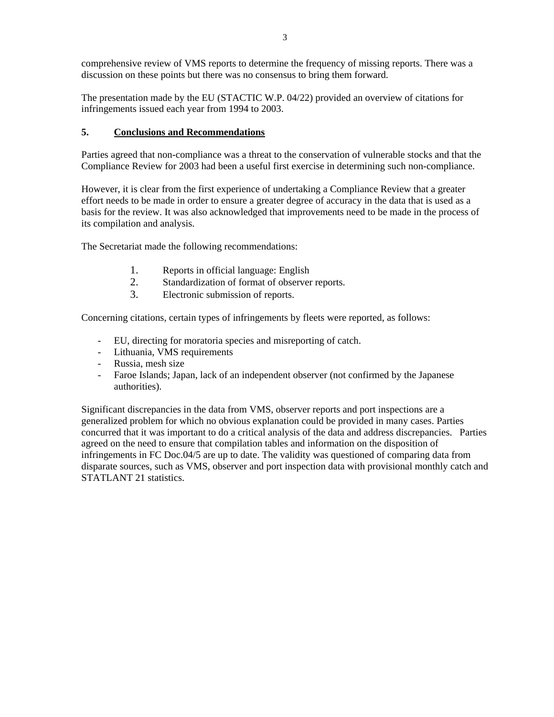comprehensive review of VMS reports to determine the frequency of missing reports. There was a discussion on these points but there was no consensus to bring them forward.

The presentation made by the EU (STACTIC W.P. 04/22) provided an overview of citations for infringements issued each year from 1994 to 2003.

# **5. Conclusions and Recommendations**

Parties agreed that non-compliance was a threat to the conservation of vulnerable stocks and that the Compliance Review for 2003 had been a useful first exercise in determining such non-compliance.

However, it is clear from the first experience of undertaking a Compliance Review that a greater effort needs to be made in order to ensure a greater degree of accuracy in the data that is used as a basis for the review. It was also acknowledged that improvements need to be made in the process of its compilation and analysis.

The Secretariat made the following recommendations:

- 1. Reports in official language: English
- 2. Standardization of format of observer reports.
- 3. Electronic submission of reports.

Concerning citations, certain types of infringements by fleets were reported, as follows:

- EU, directing for moratoria species and misreporting of catch.
- Lithuania, VMS requirements
- Russia, mesh size
- Faroe Islands; Japan, lack of an independent observer (not confirmed by the Japanese authorities).

Significant discrepancies in the data from VMS, observer reports and port inspections are a generalized problem for which no obvious explanation could be provided in many cases. Parties concurred that it was important to do a critical analysis of the data and address discrepancies. Parties agreed on the need to ensure that compilation tables and information on the disposition of infringements in FC Doc.04/5 are up to date. The validity was questioned of comparing data from disparate sources, such as VMS, observer and port inspection data with provisional monthly catch and STATLANT 21 statistics.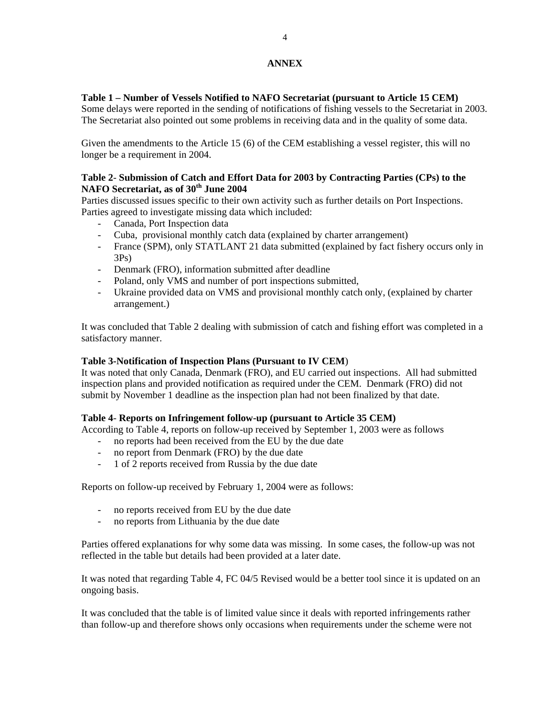# **ANNEX**

## **Table 1 – Number of Vessels Notified to NAFO Secretariat (pursuant to Article 15 CEM)**

Some delays were reported in the sending of notifications of fishing vessels to the Secretariat in 2003. The Secretariat also pointed out some problems in receiving data and in the quality of some data.

Given the amendments to the Article 15 (6) of the CEM establishing a vessel register, this will no longer be a requirement in 2004.

### **Table 2**- **Submission of Catch and Effort Data for 2003 by Contracting Parties (CPs) to the NAFO Secretariat, as of 30th June 2004**

Parties discussed issues specific to their own activity such as further details on Port Inspections. Parties agreed to investigate missing data which included:

- Canada, Port Inspection data
- Cuba, provisional monthly catch data (explained by charter arrangement)
- France (SPM), only STATLANT 21 data submitted (explained by fact fishery occurs only in 3Ps)
- Denmark (FRO), information submitted after deadline
- Poland, only VMS and number of port inspections submitted,
- Ukraine provided data on VMS and provisional monthly catch only, (explained by charter arrangement.)

It was concluded that Table 2 dealing with submission of catch and fishing effort was completed in a satisfactory manner.

### **Table 3-Notification of Inspection Plans (Pursuant to IV CEM**)

It was noted that only Canada, Denmark (FRO), and EU carried out inspections. All had submitted inspection plans and provided notification as required under the CEM. Denmark (FRO) did not submit by November 1 deadline as the inspection plan had not been finalized by that date.

### **Table 4**- **Reports on Infringement follow-up (pursuant to Article 35 CEM)**

According to Table 4, reports on follow-up received by September 1, 2003 were as follows

- no reports had been received from the EU by the due date
- no report from Denmark (FRO) by the due date
- 1 of 2 reports received from Russia by the due date

Reports on follow-up received by February 1, 2004 were as follows:

- no reports received from EU by the due date
- no reports from Lithuania by the due date

Parties offered explanations for why some data was missing. In some cases, the follow-up was not reflected in the table but details had been provided at a later date.

It was noted that regarding Table 4, FC 04/5 Revised would be a better tool since it is updated on an ongoing basis.

It was concluded that the table is of limited value since it deals with reported infringements rather than follow-up and therefore shows only occasions when requirements under the scheme were not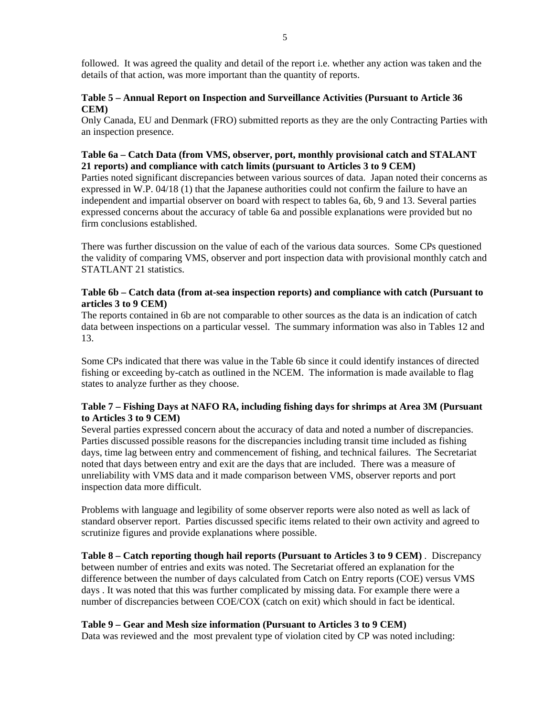followed. It was agreed the quality and detail of the report i.e. whether any action was taken and the details of that action, was more important than the quantity of reports.

## **Table 5 – Annual Report on Inspection and Surveillance Activities (Pursuant to Article 36 CEM)**

Only Canada, EU and Denmark (FRO) submitted reports as they are the only Contracting Parties with an inspection presence.

## **Table 6a – Catch Data (from VMS, observer, port, monthly provisional catch and STALANT 21 reports) and compliance with catch limits (pursuant to Articles 3 to 9 CEM)**

Parties noted significant discrepancies between various sources of data. Japan noted their concerns as expressed in W.P. 04/18 (1) that the Japanese authorities could not confirm the failure to have an independent and impartial observer on board with respect to tables 6a, 6b, 9 and 13. Several parties expressed concerns about the accuracy of table 6a and possible explanations were provided but no firm conclusions established.

There was further discussion on the value of each of the various data sources. Some CPs questioned the validity of comparing VMS, observer and port inspection data with provisional monthly catch and STATLANT 21 statistics.

## **Table 6b – Catch data (from at-sea inspection reports) and compliance with catch (Pursuant to articles 3 to 9 CEM)**

The reports contained in 6b are not comparable to other sources as the data is an indication of catch data between inspections on a particular vessel. The summary information was also in Tables 12 and 13.

Some CPs indicated that there was value in the Table 6b since it could identify instances of directed fishing or exceeding by-catch as outlined in the NCEM. The information is made available to flag states to analyze further as they choose.

## **Table 7 – Fishing Days at NAFO RA, including fishing days for shrimps at Area 3M (Pursuant to Articles 3 to 9 CEM)**

Several parties expressed concern about the accuracy of data and noted a number of discrepancies. Parties discussed possible reasons for the discrepancies including transit time included as fishing days, time lag between entry and commencement of fishing, and technical failures. The Secretariat noted that days between entry and exit are the days that are included. There was a measure of unreliability with VMS data and it made comparison between VMS, observer reports and port inspection data more difficult.

Problems with language and legibility of some observer reports were also noted as well as lack of standard observer report. Parties discussed specific items related to their own activity and agreed to scrutinize figures and provide explanations where possible.

**Table 8 – Catch reporting though hail reports (Pursuant to Articles 3 to 9 CEM)** . Discrepancy between number of entries and exits was noted. The Secretariat offered an explanation for the difference between the number of days calculated from Catch on Entry reports (COE) versus VMS days . It was noted that this was further complicated by missing data. For example there were a number of discrepancies between COE/COX (catch on exit) which should in fact be identical.

### **Table 9 – Gear and Mesh size information (Pursuant to Articles 3 to 9 CEM)**

Data was reviewed and the most prevalent type of violation cited by CP was noted including: